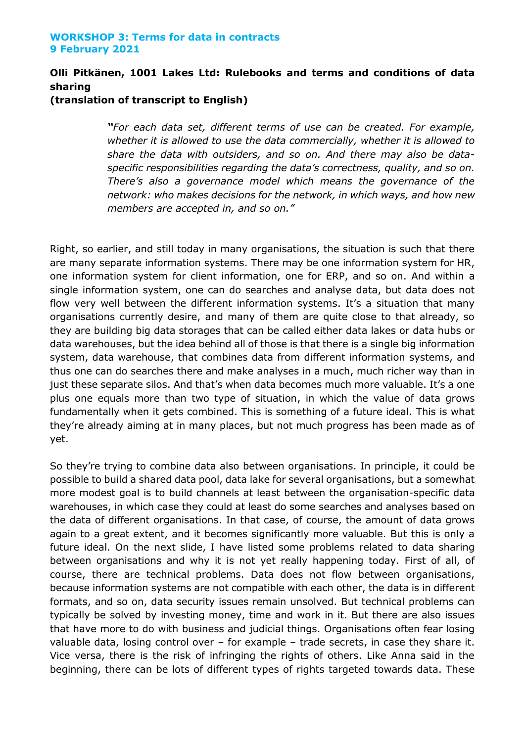# **Olli Pitkänen, 1001 Lakes Ltd: Rulebooks and terms and conditions of data sharing**

**(translation of transcript to English)**

*"For each data set, different terms of use can be created. For example, whether it is allowed to use the data commercially, whether it is allowed to share the data with outsiders, and so on. And there may also be dataspecific responsibilities regarding the data's correctness, quality, and so on. There's also a governance model which means the governance of the network: who makes decisions for the network, in which ways, and how new members are accepted in, and so on."*

Right, so earlier, and still today in many organisations, the situation is such that there are many separate information systems. There may be one information system for HR, one information system for client information, one for ERP, and so on. And within a single information system, one can do searches and analyse data, but data does not flow very well between the different information systems. It's a situation that many organisations currently desire, and many of them are quite close to that already, so they are building big data storages that can be called either data lakes or data hubs or data warehouses, but the idea behind all of those is that there is a single big information system, data warehouse, that combines data from different information systems, and thus one can do searches there and make analyses in a much, much richer way than in just these separate silos. And that's when data becomes much more valuable. It's a one plus one equals more than two type of situation, in which the value of data grows fundamentally when it gets combined. This is something of a future ideal. This is what they're already aiming at in many places, but not much progress has been made as of yet.

So they're trying to combine data also between organisations. In principle, it could be possible to build a shared data pool, data lake for several organisations, but a somewhat more modest goal is to build channels at least between the organisation-specific data warehouses, in which case they could at least do some searches and analyses based on the data of different organisations. In that case, of course, the amount of data grows again to a great extent, and it becomes significantly more valuable. But this is only a future ideal. On the next slide, I have listed some problems related to data sharing between organisations and why it is not yet really happening today. First of all, of course, there are technical problems. Data does not flow between organisations, because information systems are not compatible with each other, the data is in different formats, and so on, data security issues remain unsolved. But technical problems can typically be solved by investing money, time and work in it. But there are also issues that have more to do with business and judicial things. Organisations often fear losing valuable data, losing control over – for example – trade secrets, in case they share it. Vice versa, there is the risk of infringing the rights of others. Like Anna said in the beginning, there can be lots of different types of rights targeted towards data. These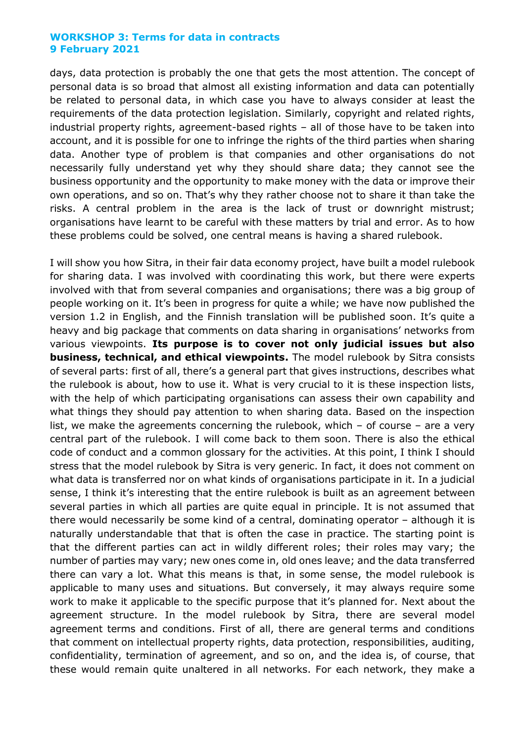days, data protection is probably the one that gets the most attention. The concept of personal data is so broad that almost all existing information and data can potentially be related to personal data, in which case you have to always consider at least the requirements of the data protection legislation. Similarly, copyright and related rights, industrial property rights, agreement-based rights – all of those have to be taken into account, and it is possible for one to infringe the rights of the third parties when sharing data. Another type of problem is that companies and other organisations do not necessarily fully understand yet why they should share data; they cannot see the business opportunity and the opportunity to make money with the data or improve their own operations, and so on. That's why they rather choose not to share it than take the risks. A central problem in the area is the lack of trust or downright mistrust; organisations have learnt to be careful with these matters by trial and error. As to how these problems could be solved, one central means is having a shared rulebook.

I will show you how Sitra, in their fair data economy project, have built a model rulebook for sharing data. I was involved with coordinating this work, but there were experts involved with that from several companies and organisations; there was a big group of people working on it. It's been in progress for quite a while; we have now published the version 1.2 in English, and the Finnish translation will be published soon. It's quite a heavy and big package that comments on data sharing in organisations' networks from various viewpoints. **Its purpose is to cover not only judicial issues but also business, technical, and ethical viewpoints.** The model rulebook by Sitra consists of several parts: first of all, there's a general part that gives instructions, describes what the rulebook is about, how to use it. What is very crucial to it is these inspection lists, with the help of which participating organisations can assess their own capability and what things they should pay attention to when sharing data. Based on the inspection list, we make the agreements concerning the rulebook, which – of course – are a very central part of the rulebook. I will come back to them soon. There is also the ethical code of conduct and a common glossary for the activities. At this point, I think I should stress that the model rulebook by Sitra is very generic. In fact, it does not comment on what data is transferred nor on what kinds of organisations participate in it. In a judicial sense, I think it's interesting that the entire rulebook is built as an agreement between several parties in which all parties are quite equal in principle. It is not assumed that there would necessarily be some kind of a central, dominating operator – although it is naturally understandable that that is often the case in practice. The starting point is that the different parties can act in wildly different roles; their roles may vary; the number of parties may vary; new ones come in, old ones leave; and the data transferred there can vary a lot. What this means is that, in some sense, the model rulebook is applicable to many uses and situations. But conversely, it may always require some work to make it applicable to the specific purpose that it's planned for. Next about the agreement structure. In the model rulebook by Sitra, there are several model agreement terms and conditions. First of all, there are general terms and conditions that comment on intellectual property rights, data protection, responsibilities, auditing, confidentiality, termination of agreement, and so on, and the idea is, of course, that these would remain quite unaltered in all networks. For each network, they make a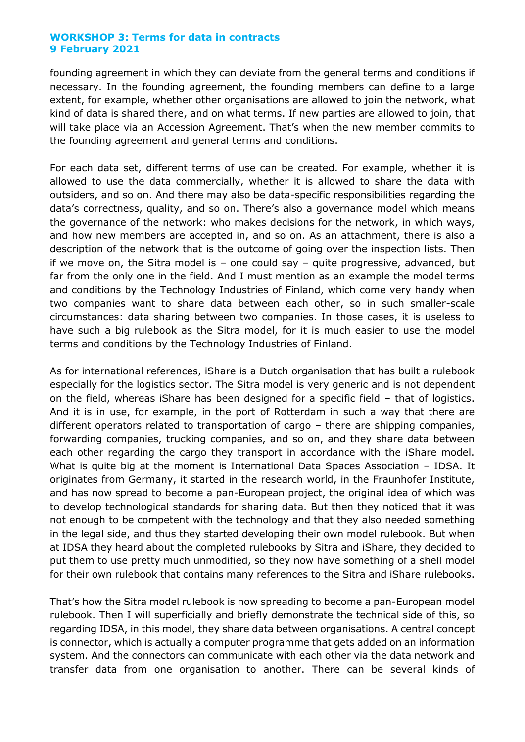founding agreement in which they can deviate from the general terms and conditions if necessary. In the founding agreement, the founding members can define to a large extent, for example, whether other organisations are allowed to join the network, what kind of data is shared there, and on what terms. If new parties are allowed to join, that will take place via an Accession Agreement. That's when the new member commits to the founding agreement and general terms and conditions.

For each data set, different terms of use can be created. For example, whether it is allowed to use the data commercially, whether it is allowed to share the data with outsiders, and so on. And there may also be data-specific responsibilities regarding the data's correctness, quality, and so on. There's also a governance model which means the governance of the network: who makes decisions for the network, in which ways, and how new members are accepted in, and so on. As an attachment, there is also a description of the network that is the outcome of going over the inspection lists. Then if we move on, the Sitra model is  $-$  one could say  $-$  quite progressive, advanced, but far from the only one in the field. And I must mention as an example the model terms and conditions by the Technology Industries of Finland, which come very handy when two companies want to share data between each other, so in such smaller-scale circumstances: data sharing between two companies. In those cases, it is useless to have such a big rulebook as the Sitra model, for it is much easier to use the model terms and conditions by the Technology Industries of Finland.

As for international references, iShare is a Dutch organisation that has built a rulebook especially for the logistics sector. The Sitra model is very generic and is not dependent on the field, whereas iShare has been designed for a specific field – that of logistics. And it is in use, for example, in the port of Rotterdam in such a way that there are different operators related to transportation of cargo – there are shipping companies, forwarding companies, trucking companies, and so on, and they share data between each other regarding the cargo they transport in accordance with the iShare model. What is quite big at the moment is International Data Spaces Association – IDSA. It originates from Germany, it started in the research world, in the Fraunhofer Institute, and has now spread to become a pan-European project, the original idea of which was to develop technological standards for sharing data. But then they noticed that it was not enough to be competent with the technology and that they also needed something in the legal side, and thus they started developing their own model rulebook. But when at IDSA they heard about the completed rulebooks by Sitra and iShare, they decided to put them to use pretty much unmodified, so they now have something of a shell model for their own rulebook that contains many references to the Sitra and iShare rulebooks.

That's how the Sitra model rulebook is now spreading to become a pan-European model rulebook. Then I will superficially and briefly demonstrate the technical side of this, so regarding IDSA, in this model, they share data between organisations. A central concept is connector, which is actually a computer programme that gets added on an information system. And the connectors can communicate with each other via the data network and transfer data from one organisation to another. There can be several kinds of